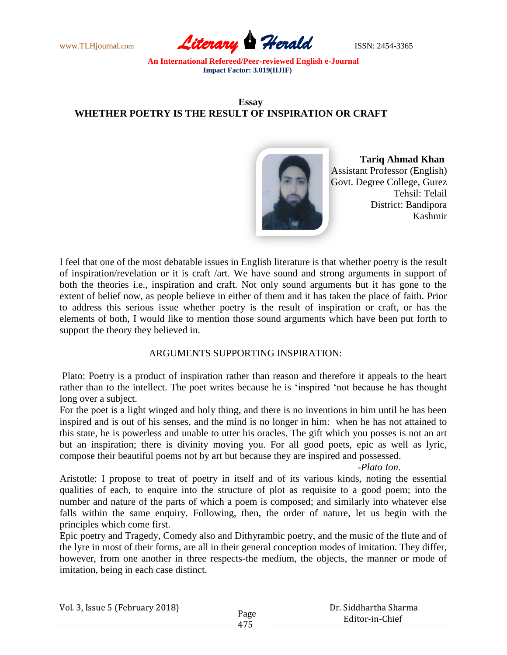www.TLHjournal.com **Literary Herald** ISSN: 2454-3365

# **Essay WHETHER POETRY IS THE RESULT OF INSPIRATION OR CRAFT**



 **Tariq Ahmad Khan** Assistant Professor (English) Govt. Degree College, Gurez Tehsil: Telail District: Bandipora Kashmir

I feel that one of the most debatable issues in English literature is that whether poetry is the result of inspiration/revelation or it is craft /art. We have sound and strong arguments in support of both the theories i.e., inspiration and craft. Not only sound arguments but it has gone to the extent of belief now, as people believe in either of them and it has taken the place of faith. Prior to address this serious issue whether poetry is the result of inspiration or craft, or has the elements of both, I would like to mention those sound arguments which have been put forth to support the theory they believed in.

### ARGUMENTS SUPPORTING INSPIRATION:

Plato: Poetry is a product of inspiration rather than reason and therefore it appeals to the heart rather than to the intellect. The poet writes because he is "inspired "not because he has thought long over a subject.

For the poet is a light winged and holy thing, and there is no inventions in him until he has been inspired and is out of his senses, and the mind is no longer in him: when he has not attained to this state, he is powerless and unable to utter his oracles. The gift which you posses is not an art but an inspiration; there is divinity moving you. For all good poets, epic as well as lyric, compose their beautiful poems not by art but because they are inspired and possessed.

-*Plato Ion*.

Aristotle: I propose to treat of poetry in itself and of its various kinds, noting the essential qualities of each, to enquire into the structure of plot as requisite to a good poem; into the number and nature of the parts of which a poem is composed; and similarly into whatever else falls within the same enquiry. Following, then, the order of nature, let us begin with the principles which come first.

Epic poetry and Tragedy, Comedy also and Dithyrambic poetry, and the music of the flute and of the lyre in most of their forms, are all in their general conception modes of imitation. They differ, however, from one another in three respects-the medium, the objects, the manner or mode of imitation, being in each case distinct.

Vol. 3, Issue 5 (February 2018) Page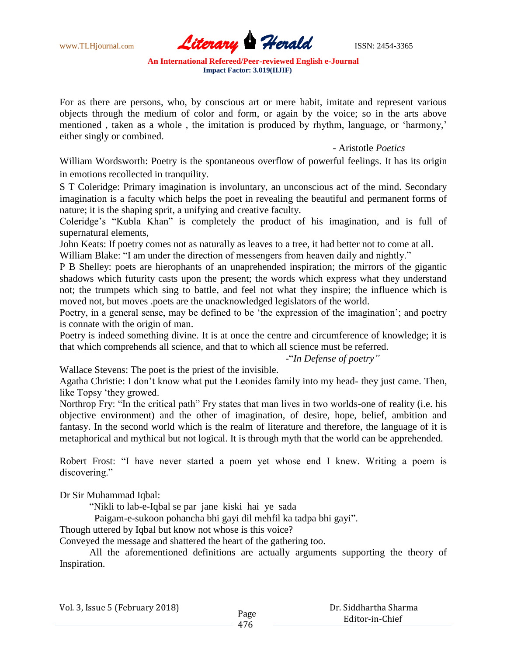

For as there are persons, who, by conscious art or mere habit, imitate and represent various objects through the medium of color and form, or again by the voice; so in the arts above mentioned, taken as a whole, the imitation is produced by rhythm, language, or 'harmony,' either singly or combined.

- Aristotle *Poetics*

William Wordsworth: Poetry is the spontaneous overflow of powerful feelings. It has its origin in emotions recollected in tranquility.

S T Coleridge: Primary imagination is involuntary, an unconscious act of the mind. Secondary imagination is a faculty which helps the poet in revealing the beautiful and permanent forms of nature; it is the shaping sprit, a unifying and creative faculty.

Coleridge"s "Kubla Khan" is completely the product of his imagination, and is full of supernatural elements,

John Keats: If poetry comes not as naturally as leaves to a tree, it had better not to come at all. William Blake: "I am under the direction of messengers from heaven daily and nightly."

P B Shelley: poets are hierophants of an unaprehended inspiration; the mirrors of the gigantic shadows which futurity casts upon the present; the words which express what they understand not; the trumpets which sing to battle, and feel not what they inspire; the influence which is moved not, but moves .poets are the unacknowledged legislators of the world.

Poetry, in a general sense, may be defined to be 'the expression of the imagination'; and poetry is connate with the origin of man.

Poetry is indeed something divine. It is at once the centre and circumference of knowledge; it is that which comprehends all science, and that to which all science must be referred.

-"*In Defense of poetry"*

Wallace Stevens: The poet is the priest of the invisible.

Agatha Christie: I don"t know what put the Leonides family into my head- they just came. Then, like Topsy "they growed.

Northrop Fry: "In the critical path" Fry states that man lives in two worlds-one of reality (i.e. his objective environment) and the other of imagination, of desire, hope, belief, ambition and fantasy. In the second world which is the realm of literature and therefore, the language of it is metaphorical and mythical but not logical. It is through myth that the world can be apprehended.

Robert Frost: "I have never started a poem yet whose end I knew. Writing a poem is discovering."

Dr Sir Muhammad Iqbal:

"Nikli to lab-e-Iqbal se par jane kiski hai ye sada

Paigam-e-sukoon pohancha bhi gayi dil mehfil ka tadpa bhi gayi".

Though uttered by Iqbal but know not whose is this voice?

Conveyed the message and shattered the heart of the gathering too.

All the aforementioned definitions are actually arguments supporting the theory of Inspiration.

Vol. 3, Issue 5 (February 2018) Page

 Dr. Siddhartha Sharma Editor-in-Chief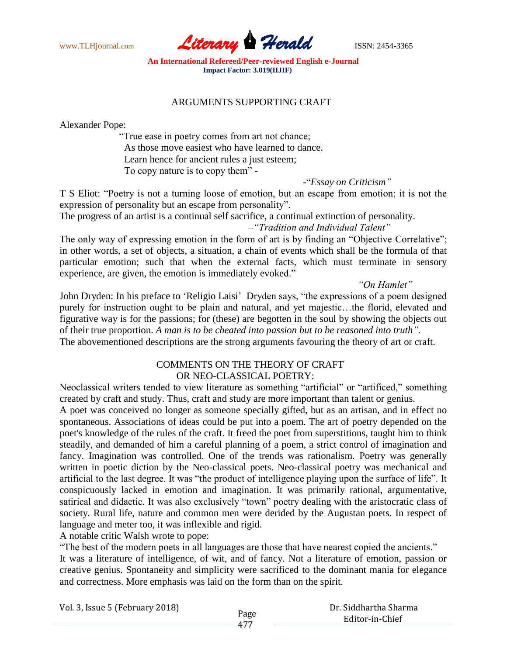

### ARGUMENTS SUPPORTING CRAFT

Alexander Pope:

"True ease in poetry comes from art not chance; As those move easiest who have learned to dance. Learn hence for ancient rules a just esteem; To copy nature is to copy them" -

-"*Essay on Criticism"*

T S Eliot: "Poetry is not a turning loose of emotion, but an escape from emotion; it is not the expression of personality but an escape from personality".

The progress of an artist is a continual self sacrifice, a continual extinction of personality. –*"Tradition and Individual Talent"*

The only way of expressing emotion in the form of art is by finding an "Objective Correlative"; in other words, a set of objects, a situation, a chain of events which shall be the formula of that particular emotion; such that when the external facts, which must terminate in sensory experience, are given, the emotion is immediately evoked."

*"On Hamlet"*

John Dryden: In his preface to "Religio Laisi" Dryden says, "the expressions of a poem designed purely for instruction ought to be plain and natural, and yet majestic…the florid, elevated and figurative way is for the passions; for (these) are begotten in the soul by showing the objects out of their true proportion. *A man is to be cheated into passion but to be reasoned into truth".* The abovementioned descriptions are the strong arguments favouring the theory of art or craft.

#### COMMENTS ON THE THEORY OF CRAFT OR NEO-CLASSICAL POETRY:

Neoclassical writers tended to view literature as something "artificial" or "artificed," something created by craft and study. Thus, craft and study are more important than talent or genius.

A poet was conceived no longer as someone specially gifted, but as an artisan, and in effect no spontaneous. Associations of ideas could be put into a poem. The art of poetry depended on the poet's knowledge of the rules of the craft. It freed the poet from superstitions, taught him to think steadily, and demanded of him a careful planning of a poem, a strict control of imagination and fancy. Imagination was controlled. One of the trends was rationalism. Poetry was generally written in poetic diction by the Neo-classical poets. Neo-classical poetry was mechanical and artificial to the last degree. It was "the product of intelligence playing upon the surface of life". It conspicuously lacked in emotion and imagination. It was primarily rational, argumentative, satirical and didactic. It was also exclusively "town" poetry dealing with the aristocratic class of society. Rural life, nature and common men were derided by the Augustan poets. In respect of language and meter too, it was inflexible and rigid.

A notable critic Walsh wrote to pope:

"The best of the modern poets in all languages are those that have nearest copied the ancients." It was a literature of intelligence, of wit, and of fancy. Not a literature of emotion, passion or creative genius. Spontaneity and simplicity were sacrificed to the dominant mania for elegance and correctness. More emphasis was laid on the form than on the spirit.

Vol. 3, Issue 5 (February 2018) Page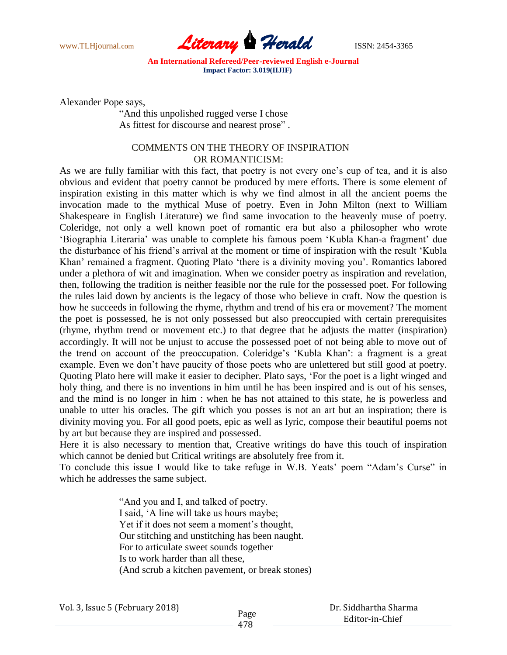

Alexander Pope says,

"And this unpolished rugged verse I chose As fittest for discourse and nearest prose" .

## COMMENTS ON THE THEORY OF INSPIRATION OR ROMANTICISM:

As we are fully familiar with this fact, that poetry is not every one"s cup of tea, and it is also obvious and evident that poetry cannot be produced by mere efforts. There is some element of inspiration existing in this matter which is why we find almost in all the ancient poems the invocation made to the mythical Muse of poetry. Even in John Milton (next to William Shakespeare in English Literature) we find same invocation to the heavenly muse of poetry. Coleridge, not only a well known poet of romantic era but also a philosopher who wrote "Biographia Literaria" was unable to complete his famous poem "Kubla Khan-a fragment" due the disturbance of his friend"s arrival at the moment or time of inspiration with the result "Kubla Khan' remained a fragment. Quoting Plato 'there is a divinity moving you'. Romantics labored under a plethora of wit and imagination. When we consider poetry as inspiration and revelation, then, following the tradition is neither feasible nor the rule for the possessed poet. For following the rules laid down by ancients is the legacy of those who believe in craft. Now the question is how he succeeds in following the rhyme, rhythm and trend of his era or movement? The moment the poet is possessed, he is not only possessed but also preoccupied with certain prerequisites (rhyme, rhythm trend or movement etc.) to that degree that he adjusts the matter (inspiration) accordingly. It will not be unjust to accuse the possessed poet of not being able to move out of the trend on account of the preoccupation. Coleridge's 'Kubla Khan': a fragment is a great example. Even we don't have paucity of those poets who are unlettered but still good at poetry. Quoting Plato here will make it easier to decipher. Plato says, "For the poet is a light winged and holy thing, and there is no inventions in him until he has been inspired and is out of his senses, and the mind is no longer in him : when he has not attained to this state, he is powerless and unable to utter his oracles. The gift which you posses is not an art but an inspiration; there is divinity moving you. For all good poets, epic as well as lyric, compose their beautiful poems not by art but because they are inspired and possessed.

Here it is also necessary to mention that, Creative writings do have this touch of inspiration which cannot be denied but Critical writings are absolutely free from it.

To conclude this issue I would like to take refuge in W.B. Yeats' poem "Adam's Curse" in which he addresses the same subject.

> "And you and I, and talked of poetry. I said, "A line will take us hours maybe; Yet if it does not seem a moment's thought, Our stitching and unstitching has been naught. For to articulate sweet sounds together Is to work harder than all these, (And scrub a kitchen pavement, or break stones)